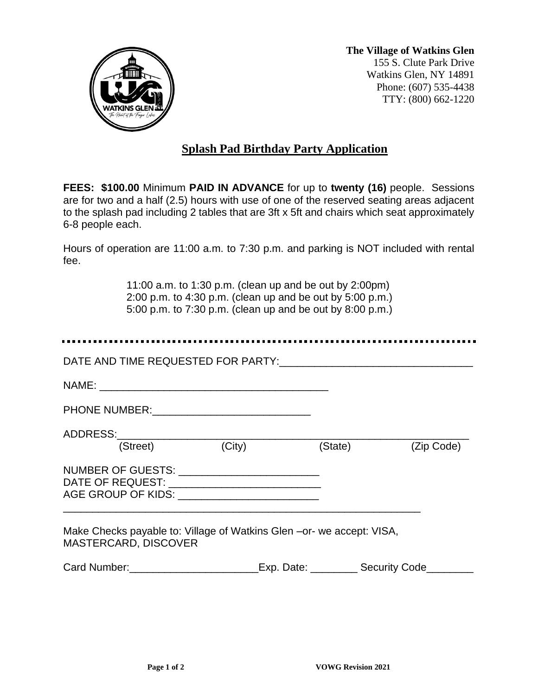

**The Village of Watkins Glen** 155 S. Clute Park Drive Watkins Glen, NY 14891 Phone: (607) 535-4438 TTY: (800) 662-1220

## **Splash Pad Birthday Party Application**

**FEES: \$100.00** Minimum **PAID IN ADVANCE** for up to **twenty (16)** people. Sessions are for two and a half (2.5) hours with use of one of the reserved seating areas adjacent to the splash pad including 2 tables that are 3ft x 5ft and chairs which seat approximately 6-8 people each.

Hours of operation are 11:00 a.m. to 7:30 p.m. and parking is NOT included with rental fee.

> 11:00 a.m. to 1:30 p.m. (clean up and be out by 2:00pm) 2:00 p.m. to 4:30 p.m. (clean up and be out by 5:00 p.m.) 5:00 p.m. to 7:30 p.m. (clean up and be out by 8:00 p.m.)

| (Street) (City)                                                                                      | (State) | (Zip Code) |
|------------------------------------------------------------------------------------------------------|---------|------------|
| NUMBER OF GUESTS: _____________________________<br>AGE GROUP OF KIDS: ______________________________ |         |            |
| Make Checks payable to: Village of Watkins Glen – or- we accept: VISA,<br>MASTERCARD, DISCOVER       |         |            |
| Card Number: Exp. Date: Security Code                                                                |         |            |